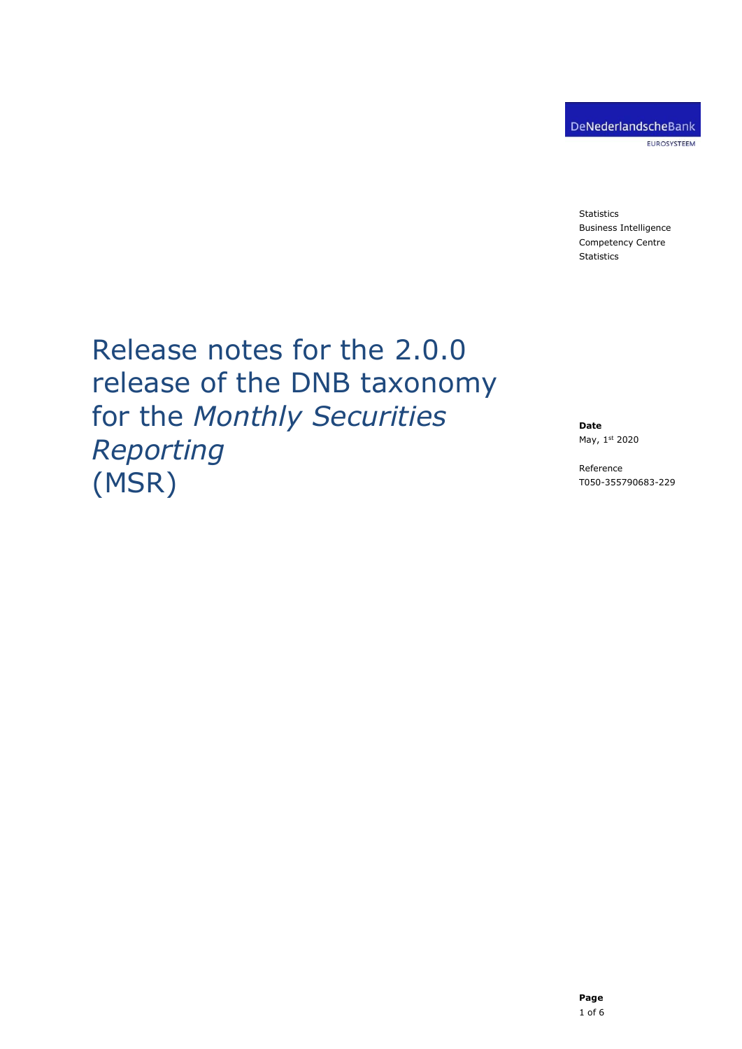**Statistics** Business Intelligence Competency Centre Statistics

# Release notes for the 2.0.0 release of the DNB taxonomy for the *Monthly Securities Reporting* (MSR)

**Date** May, 1st 2020

Reference T050-355790683-229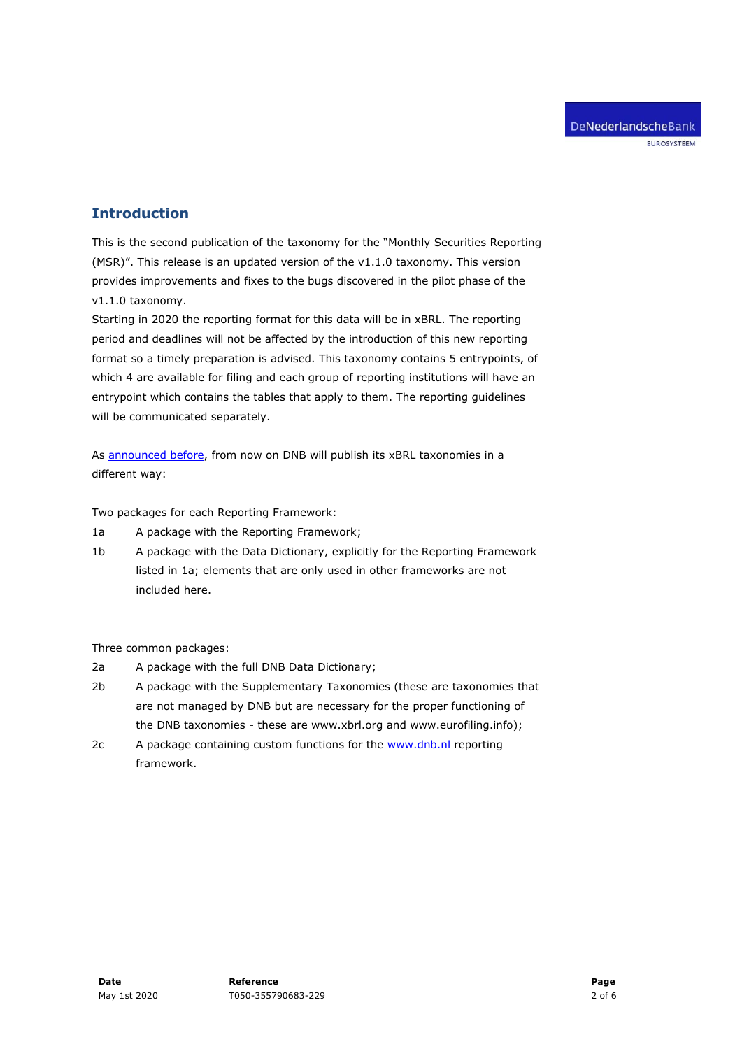## **Introduction**

This is the second publication of the taxonomy for the "Monthly Securities Reporting (MSR)". This release is an updated version of the v1.1.0 taxonomy. This version provides improvements and fixes to the bugs discovered in the pilot phase of the v1.1.0 taxonomy.

Starting in 2020 the reporting format for this data will be in xBRL. The reporting period and deadlines will not be affected by the introduction of this new reporting format so a timely preparation is advised. This taxonomy contains 5 entrypoints, of which 4 are available for filing and each group of reporting institutions will have an entrypoint which contains the tables that apply to them. The reporting guidelines will be communicated separately.

As [announced before,](https://www.dnb.nl/en/statistics/digital-reporting-portal/general/nieuwsarchief/index.jsp) from now on DNB will publish its xBRL taxonomies in a different way:

Two packages for each Reporting Framework:

- 1a A package with the Reporting Framework;
- 1b A package with the Data Dictionary, explicitly for the Reporting Framework listed in 1a; elements that are only used in other frameworks are not included here.

Three common packages:

- 2a A package with the full DNB Data Dictionary;
- 2b A package with the Supplementary Taxonomies (these are taxonomies that are not managed by DNB but are necessary for the proper functioning of the DNB taxonomies - these are www.xbrl.org and www.eurofiling.info);
- 2c A package containing custom functions for the [www.dnb.nl](http://www.dnb.nl/) reporting framework.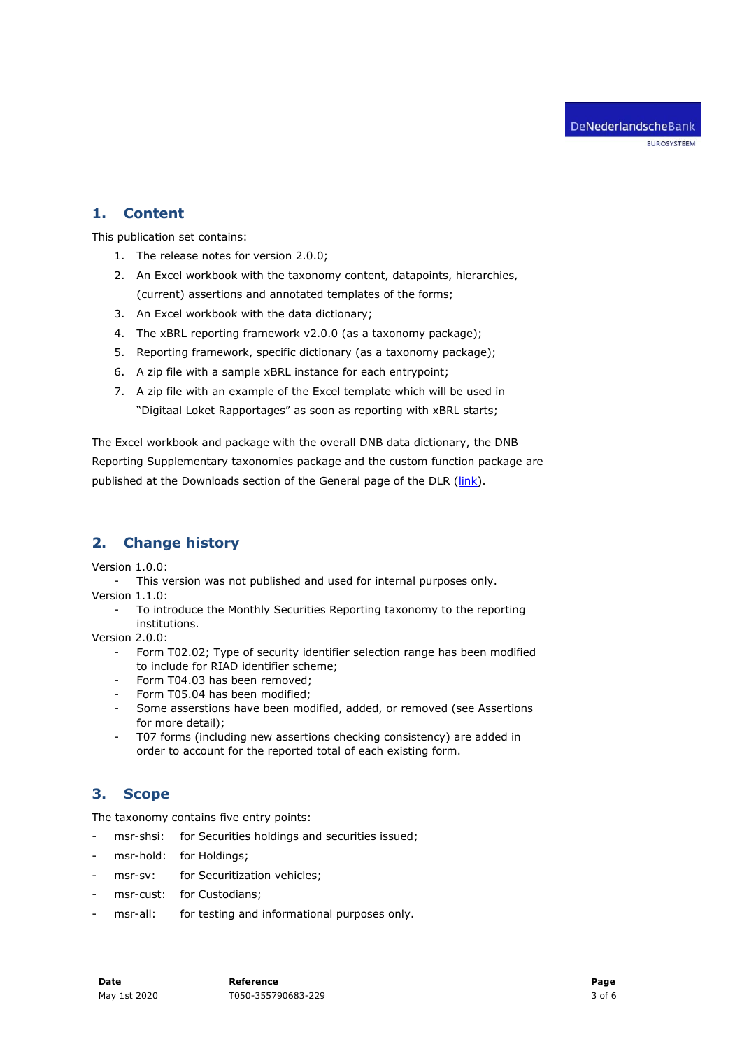#### **1. Content**

This publication set contains:

- 1. The release notes for version 2.0.0;
- 2. An Excel workbook with the taxonomy content, datapoints, hierarchies, (current) assertions and annotated templates of the forms;
- 3. An Excel workbook with the data dictionary;
- 4. The xBRL reporting framework v2.0.0 (as a taxonomy package);
- 5. Reporting framework, specific dictionary (as a taxonomy package);
- 6. A zip file with a sample xBRL instance for each entrypoint;
- 7. A zip file with an example of the Excel template which will be used in "Digitaal Loket Rapportages" as soon as reporting with xBRL starts;

The Excel workbook and package with the overall DNB data dictionary, the DNB Reporting Supplementary taxonomies package and the custom function package are published at the Downloads section of the General page of the DLR [\(link\)](https://www.dnb.nl/statistiek/digitaal-loket-rapportages/algemeen/index.jsp).

# **2. Change history**

Version 1.0.0:

This version was not published and used for internal purposes only.

Version 1.1.0:

- To introduce the Monthly Securities Reporting taxonomy to the reporting institutions.

Version 2.0.0:

- Form T02.02; Type of security identifier selection range has been modified to include for RIAD identifier scheme;
- Form T04.03 has been removed;
- Form T05.04 has been modified;
- Some asserstions have been modified, added, or removed (see Assertions for more detail);
- T07 forms (including new assertions checking consistency) are added in order to account for the reported total of each existing form.

# **3. Scope**

The taxonomy contains five entry points:

- msr-shsi: for Securities holdings and securities issued;
- msr-hold: for Holdings;
- msr-sv: for Securitization vehicles;
- msr-cust: for Custodians;
- msr-all: for testing and informational purposes only.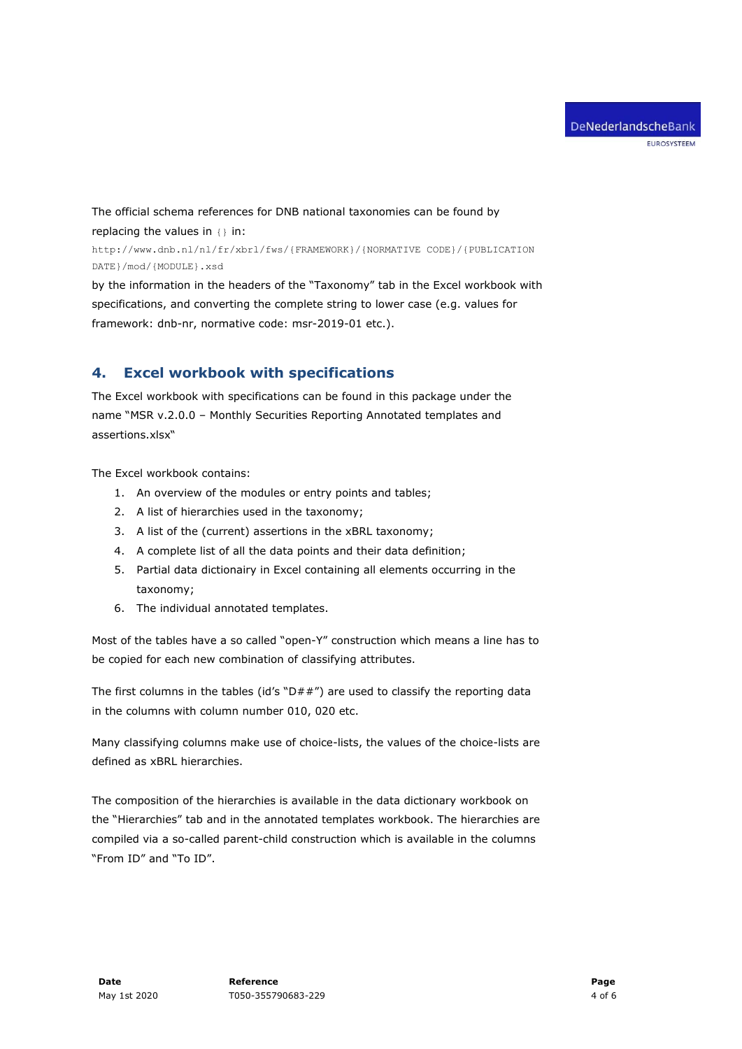The official schema references for DNB national taxonomies can be found by replacing the values in  $\{\}$  in: http://www.dnb.nl/nl/fr/xbrl/fws/{FRAMEWORK}/{NORMATIVE CODE}/{PUBLICATION DATE}/mod/{MODULE}.xsd

by the information in the headers of the "Taxonomy" tab in the Excel workbook with specifications, and converting the complete string to lower case (e.g. values for framework: dnb-nr, normative code: msr-2019-01 etc.).

## **4. Excel workbook with specifications**

The Excel workbook with specifications can be found in this package under the name "MSR v.2.0.0 – Monthly Securities Reporting Annotated templates and assertions.xlsx"

The Excel workbook contains:

- 1. An overview of the modules or entry points and tables;
- 2. A list of hierarchies used in the taxonomy;
- 3. A list of the (current) assertions in the xBRL taxonomy;
- 4. A complete list of all the data points and their data definition;
- 5. Partial data dictionairy in Excel containing all elements occurring in the taxonomy;
- 6. The individual annotated templates.

Most of the tables have a so called "open-Y" construction which means a line has to be copied for each new combination of classifying attributes.

The first columns in the tables (id's " $D##''$ ) are used to classify the reporting data in the columns with column number 010, 020 etc.

Many classifying columns make use of choice-lists, the values of the choice-lists are defined as xBRL hierarchies.

The composition of the hierarchies is available in the data dictionary workbook on the "Hierarchies" tab and in the annotated templates workbook. The hierarchies are compiled via a so-called parent-child construction which is available in the columns "From ID" and "To ID".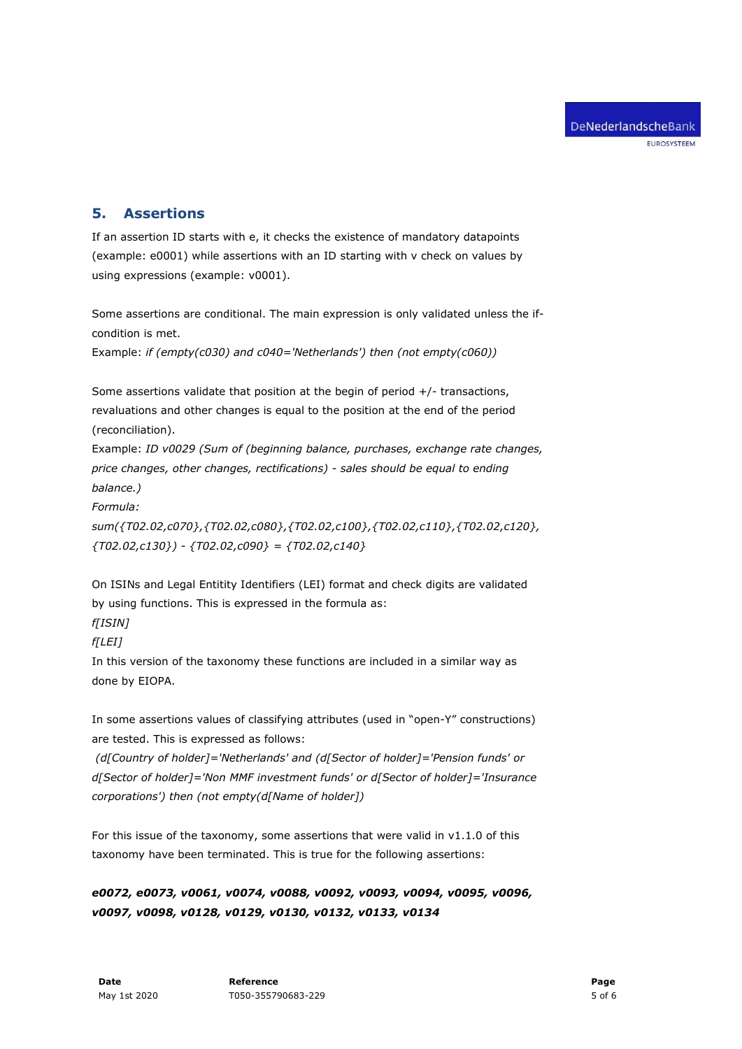#### **5. Assertions**

If an assertion ID starts with e, it checks the existence of mandatory datapoints (example: e0001) while assertions with an ID starting with v check on values by using expressions (example: v0001).

Some assertions are conditional. The main expression is only validated unless the ifcondition is met.

Example: *if (empty(c030) and c040='Netherlands') then (not empty(c060))*

Some assertions validate that position at the begin of period +/- transactions, revaluations and other changes is equal to the position at the end of the period (reconciliation).

Example: *ID v0029 (Sum of (beginning balance, purchases, exchange rate changes, price changes, other changes, rectifications) - sales should be equal to ending balance.)*

*Formula:* 

*sum({T02.02,c070},{T02.02,c080},{T02.02,c100},{T02.02,c110},{T02.02,c120}, {T02.02,c130}) - {T02.02,c090} = {T02.02,c140}*

On ISINs and Legal Entitity Identifiers (LEI) format and check digits are validated by using functions. This is expressed in the formula as:

*f[ISIN]* 

*f[LEI]*

In this version of the taxonomy these functions are included in a similar way as done by EIOPA.

In some assertions values of classifying attributes (used in "open-Y" constructions) are tested. This is expressed as follows:

*(d[Country of holder]='Netherlands' and (d[Sector of holder]='Pension funds' or d[Sector of holder]='Non MMF investment funds' or d[Sector of holder]='Insurance corporations') then (not empty(d[Name of holder])*

For this issue of the taxonomy, some assertions that were valid in v1.1.0 of this taxonomy have been terminated. This is true for the following assertions:

*e0072, e0073, v0061, v0074, v0088, v0092, v0093, v0094, v0095, v0096, v0097, v0098, v0128, v0129, v0130, v0132, v0133, v0134*